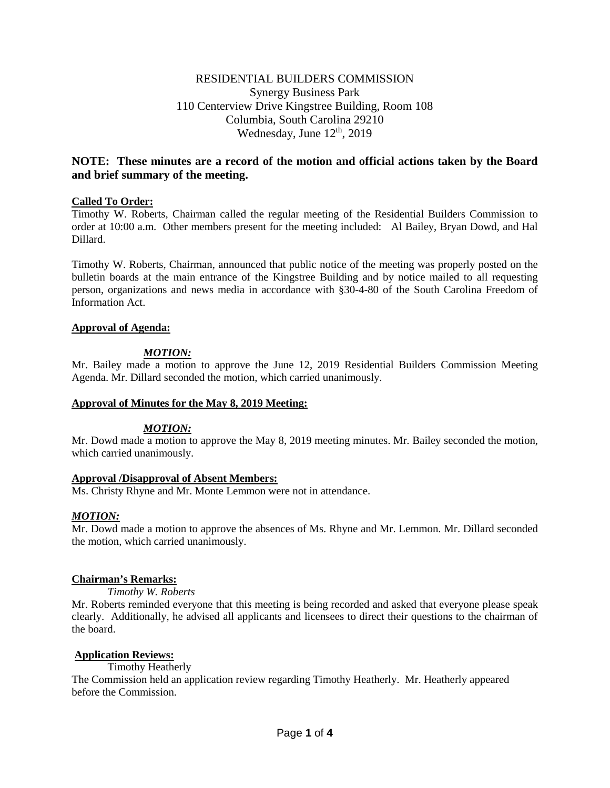# RESIDENTIAL BUILDERS COMMISSION Synergy Business Park 110 Centerview Drive Kingstree Building, Room 108 Columbia, South Carolina 29210 Wednesday, June  $12<sup>th</sup>$ , 2019

# **NOTE: These minutes are a record of the motion and official actions taken by the Board and brief summary of the meeting.**

## **Called To Order:**

Timothy W. Roberts, Chairman called the regular meeting of the Residential Builders Commission to order at 10:00 a.m. Other members present for the meeting included: Al Bailey, Bryan Dowd, and Hal Dillard.

Timothy W. Roberts, Chairman, announced that public notice of the meeting was properly posted on the bulletin boards at the main entrance of the Kingstree Building and by notice mailed to all requesting person, organizations and news media in accordance with §30-4-80 of the South Carolina Freedom of Information Act.

## **Approval of Agenda:**

# *MOTION:*

Mr. Bailey made a motion to approve the June 12, 2019 Residential Builders Commission Meeting Agenda. Mr. Dillard seconded the motion, which carried unanimously.

## **Approval of Minutes for the May 8, 2019 Meeting:**

## *MOTION:*

Mr. Dowd made a motion to approve the May 8, 2019 meeting minutes. Mr. Bailey seconded the motion, which carried unanimously.

## **Approval /Disapproval of Absent Members:**

Ms. Christy Rhyne and Mr. Monte Lemmon were not in attendance.

## *MOTION:*

Mr. Dowd made a motion to approve the absences of Ms. Rhyne and Mr. Lemmon. Mr. Dillard seconded the motion, which carried unanimously.

## **Chairman's Remarks:**

## *Timothy W. Roberts*

Mr. Roberts reminded everyone that this meeting is being recorded and asked that everyone please speak clearly. Additionally, he advised all applicants and licensees to direct their questions to the chairman of the board.

## **Application Reviews:**

Timothy Heatherly

The Commission held an application review regarding Timothy Heatherly. Mr. Heatherly appeared before the Commission.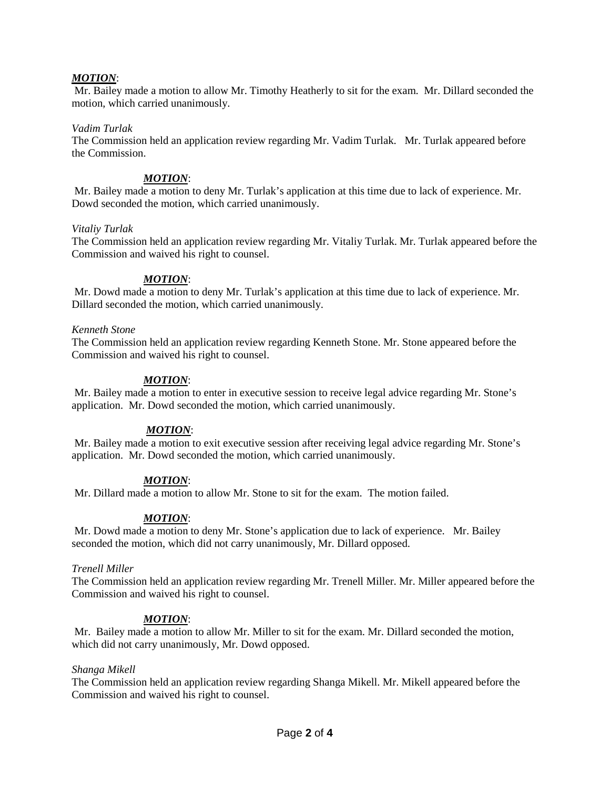## *MOTION*:

Mr. Bailey made a motion to allow Mr. Timothy Heatherly to sit for the exam. Mr. Dillard seconded the motion, which carried unanimously.

#### *Vadim Turlak*

The Commission held an application review regarding Mr. Vadim Turlak. Mr. Turlak appeared before the Commission.

## *MOTION*:

Mr. Bailey made a motion to deny Mr. Turlak's application at this time due to lack of experience. Mr. Dowd seconded the motion, which carried unanimously.

#### *Vitaliy Turlak*

The Commission held an application review regarding Mr. Vitaliy Turlak. Mr. Turlak appeared before the Commission and waived his right to counsel.

#### *MOTION*:

Mr. Dowd made a motion to deny Mr. Turlak's application at this time due to lack of experience. Mr. Dillard seconded the motion, which carried unanimously.

#### *Kenneth Stone*

The Commission held an application review regarding Kenneth Stone. Mr. Stone appeared before the Commission and waived his right to counsel.

## *MOTION*:

Mr. Bailey made a motion to enter in executive session to receive legal advice regarding Mr. Stone's application. Mr. Dowd seconded the motion, which carried unanimously.

## *MOTION*:

Mr. Bailey made a motion to exit executive session after receiving legal advice regarding Mr. Stone's application. Mr. Dowd seconded the motion, which carried unanimously.

## *MOTION*:

Mr. Dillard made a motion to allow Mr. Stone to sit for the exam. The motion failed.

## *MOTION*:

Mr. Dowd made a motion to deny Mr. Stone's application due to lack of experience. Mr. Bailey seconded the motion, which did not carry unanimously, Mr. Dillard opposed.

## *Trenell Miller*

The Commission held an application review regarding Mr. Trenell Miller. Mr. Miller appeared before the Commission and waived his right to counsel.

## *MOTION*:

Mr. Bailey made a motion to allow Mr. Miller to sit for the exam. Mr. Dillard seconded the motion, which did not carry unanimously, Mr. Dowd opposed.

## *Shanga Mikell*

The Commission held an application review regarding Shanga Mikell. Mr. Mikell appeared before the Commission and waived his right to counsel.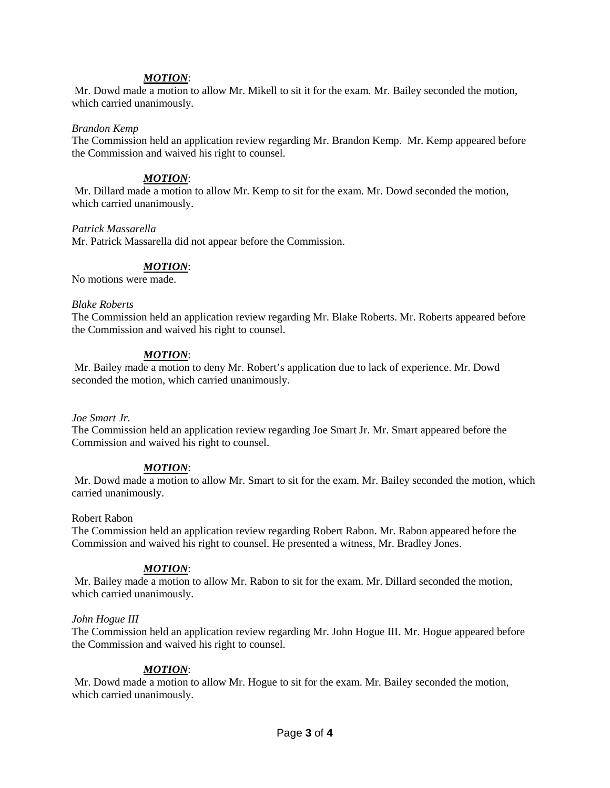## *MOTION*:

Mr. Dowd made a motion to allow Mr. Mikell to sit it for the exam. Mr. Bailey seconded the motion, which carried unanimously.

#### *Brandon Kemp*

The Commission held an application review regarding Mr. Brandon Kemp. Mr. Kemp appeared before the Commission and waived his right to counsel.

## *MOTION*:

Mr. Dillard made a motion to allow Mr. Kemp to sit for the exam. Mr. Dowd seconded the motion, which carried unanimously.

#### *Patrick Massarella*

Mr. Patrick Massarella did not appear before the Commission.

## *MOTION*:

No motions were made.

#### *Blake Roberts*

The Commission held an application review regarding Mr. Blake Roberts. Mr. Roberts appeared before the Commission and waived his right to counsel.

#### *MOTION*:

Mr. Bailey made a motion to deny Mr. Robert's application due to lack of experience. Mr. Dowd seconded the motion, which carried unanimously.

#### *Joe Smart Jr.*

The Commission held an application review regarding Joe Smart Jr. Mr. Smart appeared before the Commission and waived his right to counsel.

## *MOTION*:

Mr. Dowd made a motion to allow Mr. Smart to sit for the exam. Mr. Bailey seconded the motion, which carried unanimously.

#### Robert Rabon

The Commission held an application review regarding Robert Rabon. Mr. Rabon appeared before the Commission and waived his right to counsel. He presented a witness, Mr. Bradley Jones.

## *MOTION*:

Mr. Bailey made a motion to allow Mr. Rabon to sit for the exam. Mr. Dillard seconded the motion, which carried unanimously.

#### *John Hogue III*

The Commission held an application review regarding Mr. John Hogue III. Mr. Hogue appeared before the Commission and waived his right to counsel.

## *MOTION*:

Mr. Dowd made a motion to allow Mr. Hogue to sit for the exam. Mr. Bailey seconded the motion, which carried unanimously.